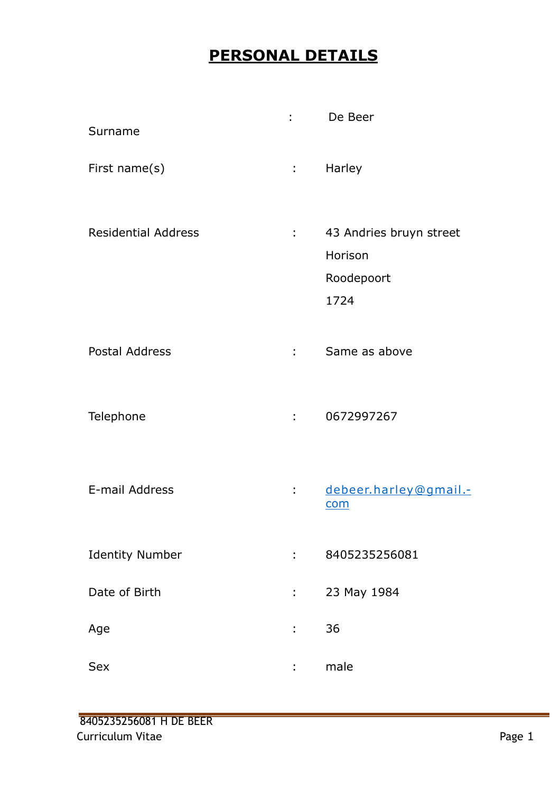## **PERSONAL DETAILS**

| Surname                    |                       | De Beer                                                  |
|----------------------------|-----------------------|----------------------------------------------------------|
| First name(s)              | $1 - 1$               | Harley                                                   |
| <b>Residential Address</b> | $\mathbb{Z}^{\times}$ | 43 Andries bruyn street<br>Horison<br>Roodepoort<br>1724 |
| <b>Postal Address</b>      | 2.50                  | Same as above                                            |
| Telephone                  |                       | 0672997267                                               |
| E-mail Address             |                       | debeer.harley@gmail .-<br>com                            |
| <b>Identity Number</b>     | ÷.                    | 8405235256081                                            |
| Date of Birth              | t.                    | 23 May 1984                                              |
| Age                        | t,                    | 36                                                       |
| Sex                        |                       | male                                                     |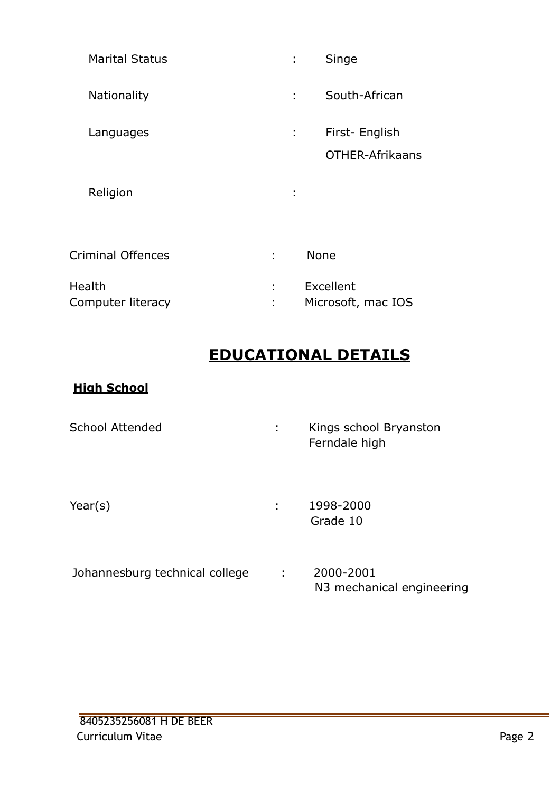| <b>Marital Status</b>       |    | Singe                             |
|-----------------------------|----|-----------------------------------|
| <b>Nationality</b>          |    | South-African                     |
| Languages                   | t, | First- English<br>OTHER-Afrikaans |
| Religion                    | ٠  |                                   |
| <b>Criminal Offences</b>    | ÷  | <b>None</b>                       |
| Health<br>Computer literacy | ٠  | Excellent<br>Microsoft, mac IOS   |

## **EDUCATIONAL DETAILS**

### **High School**

| <b>School Attended</b> | ÷ | Kings school Bryanston<br>Ferndale high |
|------------------------|---|-----------------------------------------|
| Year $(s)$             | ÷ | 1998-2000<br>Grade 10                   |

Johannesburg technical college : 2000-2001 N3 mechanical engineering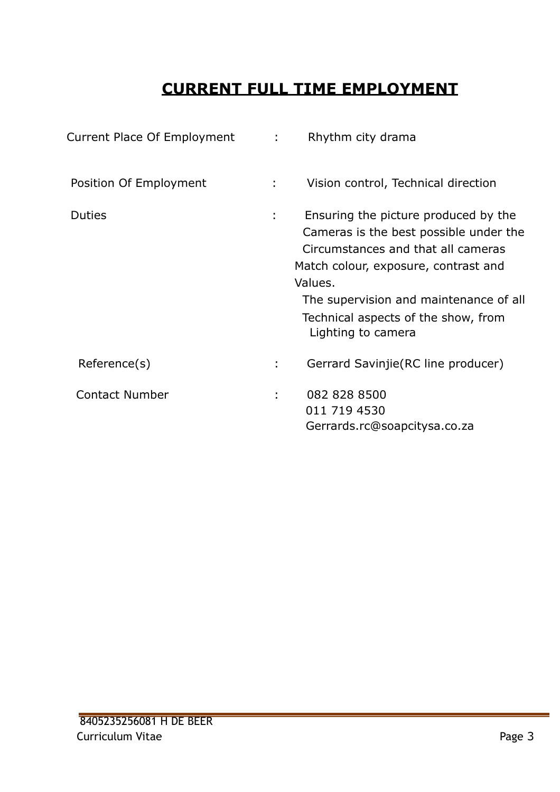## **CURRENT FULL TIME EMPLOYMENT**

| Current Place Of Employment | $\mathcal{L}^{\text{max}}$ | Rhythm city drama                                                                                                                                                                                                                                                              |
|-----------------------------|----------------------------|--------------------------------------------------------------------------------------------------------------------------------------------------------------------------------------------------------------------------------------------------------------------------------|
| Position Of Employment      | $\mathcal{L}^{\text{max}}$ | Vision control, Technical direction                                                                                                                                                                                                                                            |
| <b>Duties</b>               |                            | Ensuring the picture produced by the<br>Cameras is the best possible under the<br>Circumstances and that all cameras<br>Match colour, exposure, contrast and<br>Values.<br>The supervision and maintenance of all<br>Technical aspects of the show, from<br>Lighting to camera |
| Reference(s)                | ÷.                         | Gerrard Savinjie (RC line producer)                                                                                                                                                                                                                                            |
| <b>Contact Number</b>       |                            | 082 828 8500<br>011 719 4530<br>Gerrards.rc@soapcitysa.co.za                                                                                                                                                                                                                   |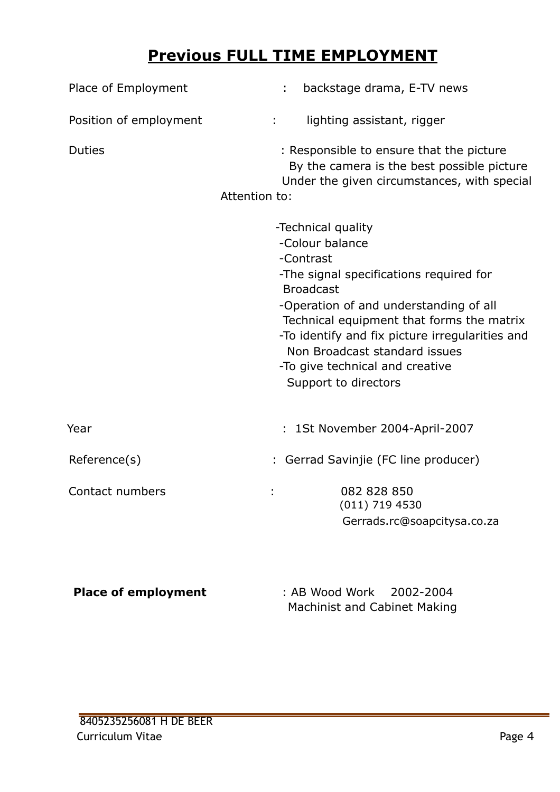## **Previous FULL TIME EMPLOYMENT**

| Place of Employment        | backstage drama, E-TV news                                                                                                                                                                                                                                                                                                                              |
|----------------------------|---------------------------------------------------------------------------------------------------------------------------------------------------------------------------------------------------------------------------------------------------------------------------------------------------------------------------------------------------------|
| Position of employment     | lighting assistant, rigger<br>÷.                                                                                                                                                                                                                                                                                                                        |
| <b>Duties</b>              | : Responsible to ensure that the picture<br>By the camera is the best possible picture<br>Under the given circumstances, with special<br>Attention to:                                                                                                                                                                                                  |
|                            | -Technical quality<br>-Colour balance<br>-Contrast<br>-The signal specifications required for<br><b>Broadcast</b><br>-Operation of and understanding of all<br>Technical equipment that forms the matrix<br>-To identify and fix picture irregularities and<br>Non Broadcast standard issues<br>-To give technical and creative<br>Support to directors |
| Year                       | : 1St November 2004-April-2007                                                                                                                                                                                                                                                                                                                          |
| Reference(s)               | : Gerrad Savinjie (FC line producer)                                                                                                                                                                                                                                                                                                                    |
| Contact numbers            | 082 828 850<br>$(011)$ 719 4530<br>Gerrads.rc@soapcitysa.co.za                                                                                                                                                                                                                                                                                          |
| <b>Place of employment</b> | : AB Wood Work<br>2002-2004                                                                                                                                                                                                                                                                                                                             |

Machinist and Cabinet Making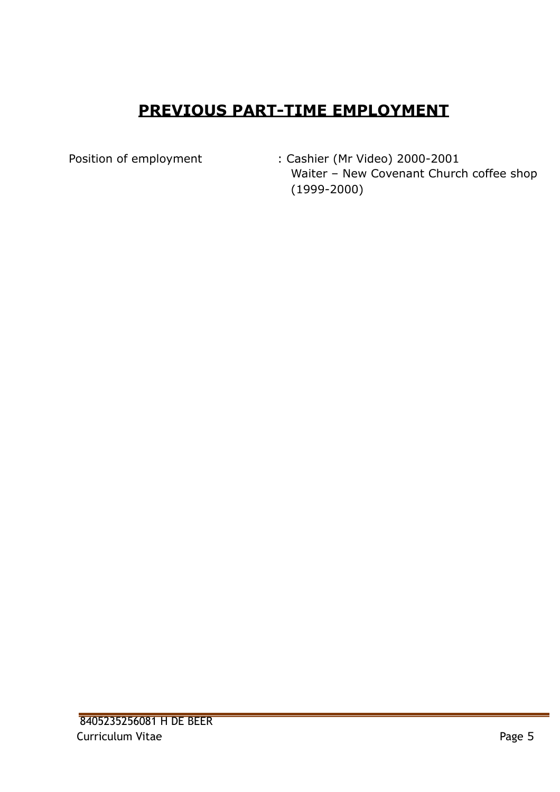# **PREVIOUS PART-TIME EMPLOYMENT**

Position of employment : Cashier (Mr Video) 2000-2001 Waiter – New Covenant Church coffee shop (1999-2000)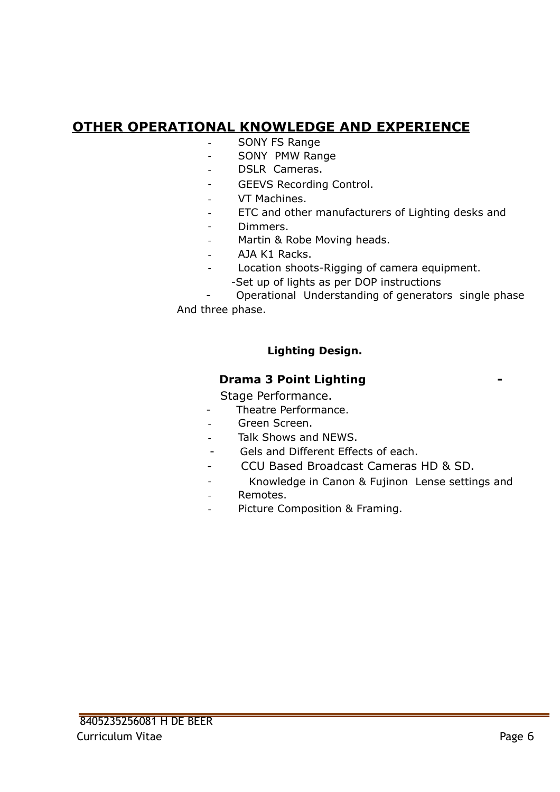## **OTHER OPERATIONAL KNOWLEDGE AND EXPERIENCE**

- SONY FS Range
- SONY PMW Range
- DSLR Cameras.
- GEEVS Recording Control.
- VT Machines.
- ETC and other manufacturers of Lighting desks and
- Dimmers.
- Martin & Robe Moving heads.
- AJA K1 Racks.
- Location shoots-Rigging of camera equipment.
	- -Set up of lights as per DOP instructions

 - Operational Understanding of generators single phase And three phase.

#### **Lighting Design.**

### **Drama 3 Point Lighting**

Stage Performance.

- Theatre Performance.
- Green Screen.
- Talk Shows and NEWS.
- Gels and Different Effects of each.
- CCU Based Broadcast Cameras HD & SD.
- Knowledge in Canon & Fujinon Lense settings and
- Remotes.
- Picture Composition & Framing.